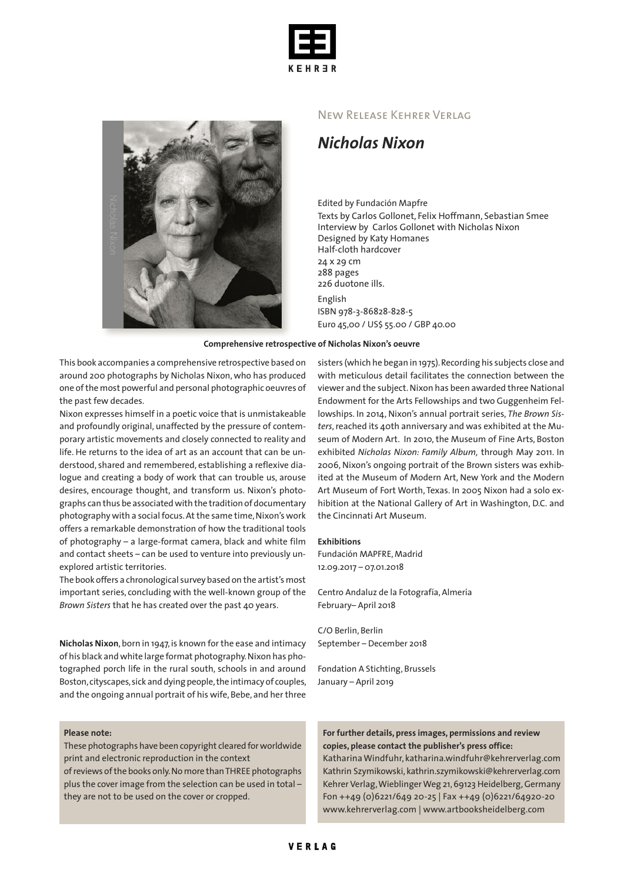



### New Release Kehrer Verlag

# *Nicholas Nixon*

#### Edited by Fundación Mapfre

Texts by Carlos Gollonet, Felix Hoffmann, Sebastian Smee Interview by Carlos Gollonet with Nicholas Nixon Designed by Katy Homanes Half-cloth hardcover 24 x 29 cm 288 pages 226 duotone ills. English ISBN 978-3-86828-828-5 Euro 45,00 / US\$ 55.00 / GBP 40.00

#### **Comprehensive retrospective of Nicholas Nixon's oeuvre**

This book accompanies a comprehensive retrospective based on around 200 photographs by Nicholas Nixon,who has produced one ofthe most powerful and personal photographic oeuvres of the past few decades.

Nixon expresses himself in a poetic voice that is unmistakeable and profoundly original, unaffected by the pressure of contemporary artistic movements and closely connected to reality and life. He returns to the idea of art as an account that can be understood, shared and remembered, establishing a reflexive dialogue and creating a body of work that can trouble us, arouse desires, encourage thought, and transform us. Nixon's photographs can thus be associatedwith the tradition of documentary photography with a social focus. At the same time, Nixon's work offers a remarkable demonstration of how the traditional tools of photography – a large-format camera, black and white film and contact sheets – can be used to venture into previously unexplored artistic territories.

The book offers a chronological survey based on the artist's most important series, concluding with the well-known group of the *Brown Sisters* that he has created over the past 40 years.

**Nicholas Nixon**, born in 1947, is known for the ease and intimacy of his black andwhite large format photography.Nixon has photographed porch life in the rural south, schools in and around Boston, cityscapes, sick and dying people, the intimacy of couples, and the ongoing annual portrait of his wife, Bebe, and her three

#### **Please note:**

These photographs have been copyright cleared forworldwide print and electronic reproduction in the context ofreviews ofthe books only.Nomore thanTHREE photographs plus the cover image from the selection can be used in total – they are not to be used on the cover or cropped.

sisters (which he began in 1975). Recording his subjects close and with meticulous detail facilitates the connection between the viewer and the subject.Nixon has been awarded three National Endowment for the Arts Fellowships and two Guggenheim Fellowships. In 2014, Nixon's annual portrait series, *The Brown Sis*ters, reached its 40th anniversary and was exhibited at the Museum of Modern Art. In 2010, the Museum of Fine Arts, Boston exhibited *Nicholas Nixon: Family Album,* through May 2011. In 2006, Nixon's ongoing portrait of the Brown sisters was exhibited at the Museum of Modern Art, New York and the Modern Art Museum of Fort Worth, Texas. In 2005 Nixon had a solo exhibition at the National Gallery of Art in Washington, D.C. and the Cincinnati Art Museum.

#### **Exhibitions**

Fundación MAPFRE, Madrid 12.09.2017 – 07.01.2018

Centro Andaluz de la Fotografía, Almería February– April 2018

C/O Berlin, Berlin September – December 2018

Fondation A Stichting, Brussels January – April 2019

## **For further details, press images, permissions and review copies, please contact the publisher's press office:**

KatharinaWindfuhr, katharina.windfuhr@kehrerverlag.com Kathrin Szymikowski, kathrin.szymikowski@kehrerverlag.com Kehrer Verlag,WieblingerWeg 21,69123 Heidelberg,Germany Fon ++49 (0)6221/649 20-25 | Fax ++49 (0)6221/64920-20 www.kehrerverlag.com | www.artbooksheidelberg.com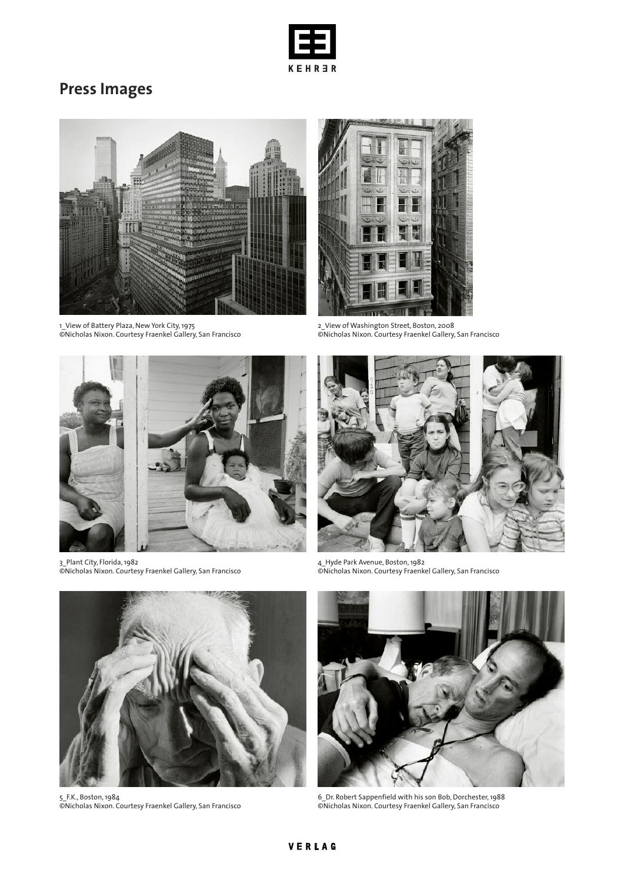

# **Press Images**



1\_View of Battery Plaza, New York City,1975 ©Nicholas Nixon. Courtesy Fraenkel Gallery, San Francisco



2\_View of Washington Street, Boston, 2008 ©Nicholas Nixon. Courtesy Fraenkel Gallery, San Francisco



3\_Plant City, Florida,1982 ©Nicholas Nixon. Courtesy Fraenkel Gallery, San Francisco



4\_Hyde Park Avenue, Boston,1982 ©Nicholas Nixon. Courtesy Fraenkel Gallery, San Francisco



5\_F.K., Boston,1984 ©Nicholas Nixon. Courtesy Fraenkel Gallery, San Francisco



6\_Dr. Robert Sappenfield with his son Bob,Dorchester,1988 ©Nicholas Nixon. Courtesy Fraenkel Gallery, San Francisco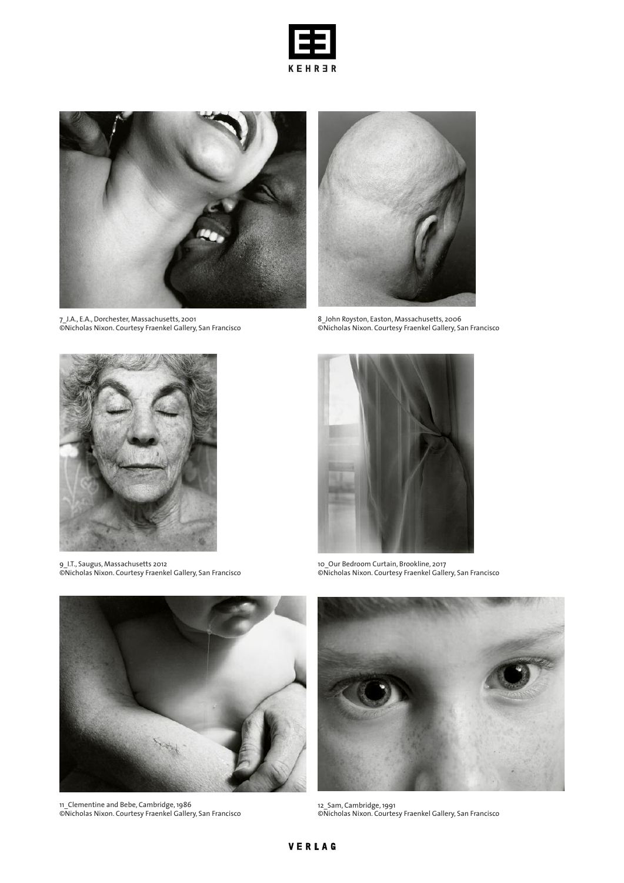



7\_J.A., E.A.,Dorchester, Massachusetts, 2001 ©Nicholas Nixon. Courtesy Fraenkel Gallery, San Francisco



8\_John Royston, Easton, Massachusetts, 2006 ©Nicholas Nixon. Courtesy Fraenkel Gallery, San Francisco



9\_I.T., Saugus, Massachusetts 2012 ©Nicholas Nixon. Courtesy Fraenkel Gallery, San Francisco



10\_Our Bedroom Curtain, Brookline, 2017 ©Nicholas Nixon. Courtesy Fraenkel Gallery, San Francisco



11\_Clementine and Bebe, Cambridge,1986 ©Nicholas Nixon. Courtesy Fraenkel Gallery, San Francisco



12\_Sam, Cambridge,1991 ©Nicholas Nixon. Courtesy Fraenkel Gallery, San Francisco

# VERLAG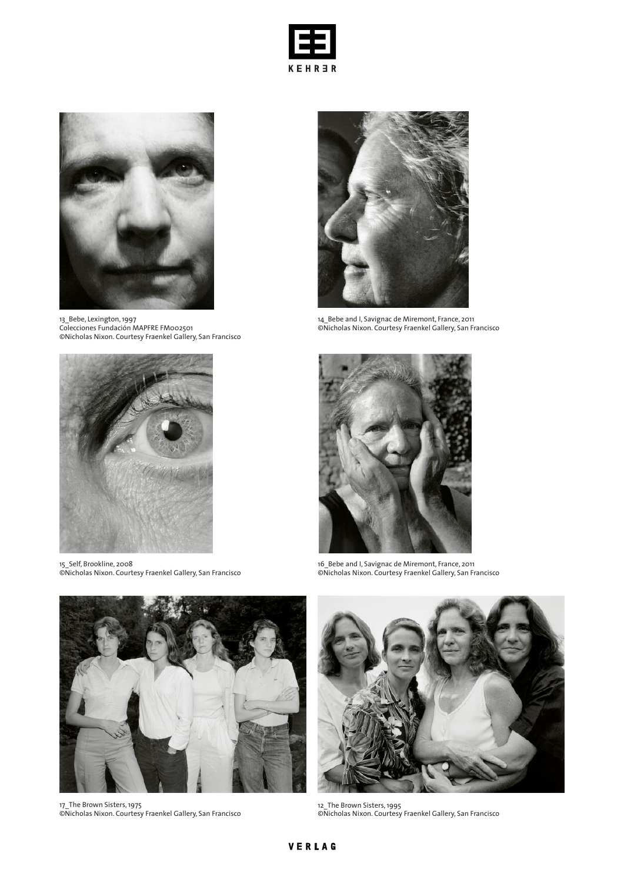



13\_Bebe, Lexington,1997 Colecciones Fundación MAPFRE FM002501 ©Nicholas Nixon. Courtesy Fraenkel Gallery, San Francisco



15\_Self, Brookline, 2008 ©Nicholas Nixon. Courtesy Fraenkel Gallery, San Francisco



14\_Bebe and I, Savignac de Miremont, France, 2011 ©Nicholas Nixon. Courtesy Fraenkel Gallery, San Francisco



16\_Bebe and I, Savignac de Miremont, France, 2011 ©Nicholas Nixon. Courtesy Fraenkel Gallery, San Francisco



17\_The Brown Sisters,1975 ©Nicholas Nixon. Courtesy Fraenkel Gallery, San Francisco



12\_The Brown Sisters,1995 ©Nicholas Nixon. Courtesy Fraenkel Gallery, San Francisco